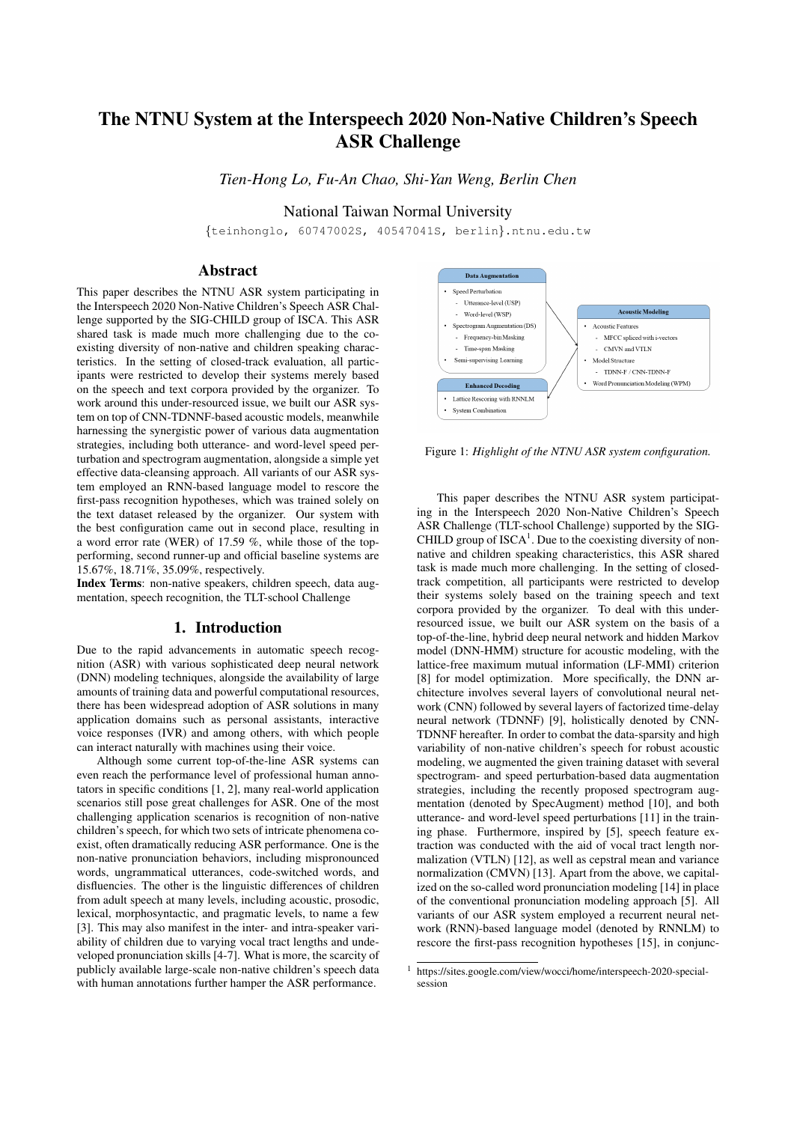# The NTNU System at the Interspeech 2020 Non-Native Children's Speech ASR Challenge

*Tien-Hong Lo, Fu-An Chao, Shi-Yan Weng, Berlin Chen*

National Taiwan Normal University

{teinhonglo, 60747002S, 40547041S, berlin}.ntnu.edu.tw

# Abstract

This paper describes the NTNU ASR system participating in the Interspeech 2020 Non-Native Children's Speech ASR Challenge supported by the SIG-CHILD group of ISCA. This ASR shared task is made much more challenging due to the coexisting diversity of non-native and children speaking characteristics. In the setting of closed-track evaluation, all participants were restricted to develop their systems merely based on the speech and text corpora provided by the organizer. To work around this under-resourced issue, we built our ASR system on top of CNN-TDNNF-based acoustic models, meanwhile harnessing the synergistic power of various data augmentation strategies, including both utterance- and word-level speed perturbation and spectrogram augmentation, alongside a simple yet effective data-cleansing approach. All variants of our ASR system employed an RNN-based language model to rescore the first-pass recognition hypotheses, which was trained solely on the text dataset released by the organizer. Our system with the best configuration came out in second place, resulting in a word error rate (WER) of 17.59 %, while those of the topperforming, second runner-up and official baseline systems are 15.67%, 18.71%, 35.09%, respectively.

Index Terms: non-native speakers, children speech, data augmentation, speech recognition, the TLT-school Challenge

# 1. Introduction

Due to the rapid advancements in automatic speech recognition (ASR) with various sophisticated deep neural network (DNN) modeling techniques, alongside the availability of large amounts of training data and powerful computational resources, there has been widespread adoption of ASR solutions in many application domains such as personal assistants, interactive voice responses (IVR) and among others, with which people can interact naturally with machines using their voice.

Although some current top-of-the-line ASR systems can even reach the performance level of professional human annotators in specific conditions [1, 2], many real-world application scenarios still pose great challenges for ASR. One of the most challenging application scenarios is recognition of non-native children's speech, for which two sets of intricate phenomena coexist, often dramatically reducing ASR performance. One is the non-native pronunciation behaviors, including mispronounced words, ungrammatical utterances, code-switched words, and disfluencies. The other is the linguistic differences of children from adult speech at many levels, including acoustic, prosodic, lexical, morphosyntactic, and pragmatic levels, to name a few [3]. This may also manifest in the inter- and intra-speaker variability of children due to varying vocal tract lengths and undeveloped pronunciation skills [4-7]. What is more, the scarcity of publicly available large-scale non-native children's speech data with human annotations further hamper the ASR performance.



Figure 1: *Highlight of the NTNU ASR system configuration.*

This paper describes the NTNU ASR system participating in the Interspeech 2020 Non-Native Children's Speech ASR Challenge (TLT-school Challenge) supported by the SIG-CHILD group of  $ISCA<sup>1</sup>$ . Due to the coexisting diversity of nonnative and children speaking characteristics, this ASR shared task is made much more challenging. In the setting of closedtrack competition, all participants were restricted to develop their systems solely based on the training speech and text corpora provided by the organizer. To deal with this underresourced issue, we built our ASR system on the basis of a top-of-the-line, hybrid deep neural network and hidden Markov model (DNN-HMM) structure for acoustic modeling, with the lattice-free maximum mutual information (LF-MMI) criterion [8] for model optimization. More specifically, the DNN architecture involves several layers of convolutional neural network (CNN) followed by several layers of factorized time-delay neural network (TDNNF) [9], holistically denoted by CNN-TDNNF hereafter. In order to combat the data-sparsity and high variability of non-native children's speech for robust acoustic modeling, we augmented the given training dataset with several spectrogram- and speed perturbation-based data augmentation strategies, including the recently proposed spectrogram augmentation (denoted by SpecAugment) method [10], and both utterance- and word-level speed perturbations [11] in the training phase. Furthermore, inspired by [5], speech feature extraction was conducted with the aid of vocal tract length normalization (VTLN) [12], as well as cepstral mean and variance normalization (CMVN) [13]. Apart from the above, we capitalized on the so-called word pronunciation modeling [14] in place of the conventional pronunciation modeling approach [5]. All variants of our ASR system employed a recurrent neural network (RNN)-based language model (denoted by RNNLM) to rescore the first-pass recognition hypotheses [15], in conjunc-

<sup>1</sup> https://sites.google.com/view/wocci/home/interspeech-2020-specialsession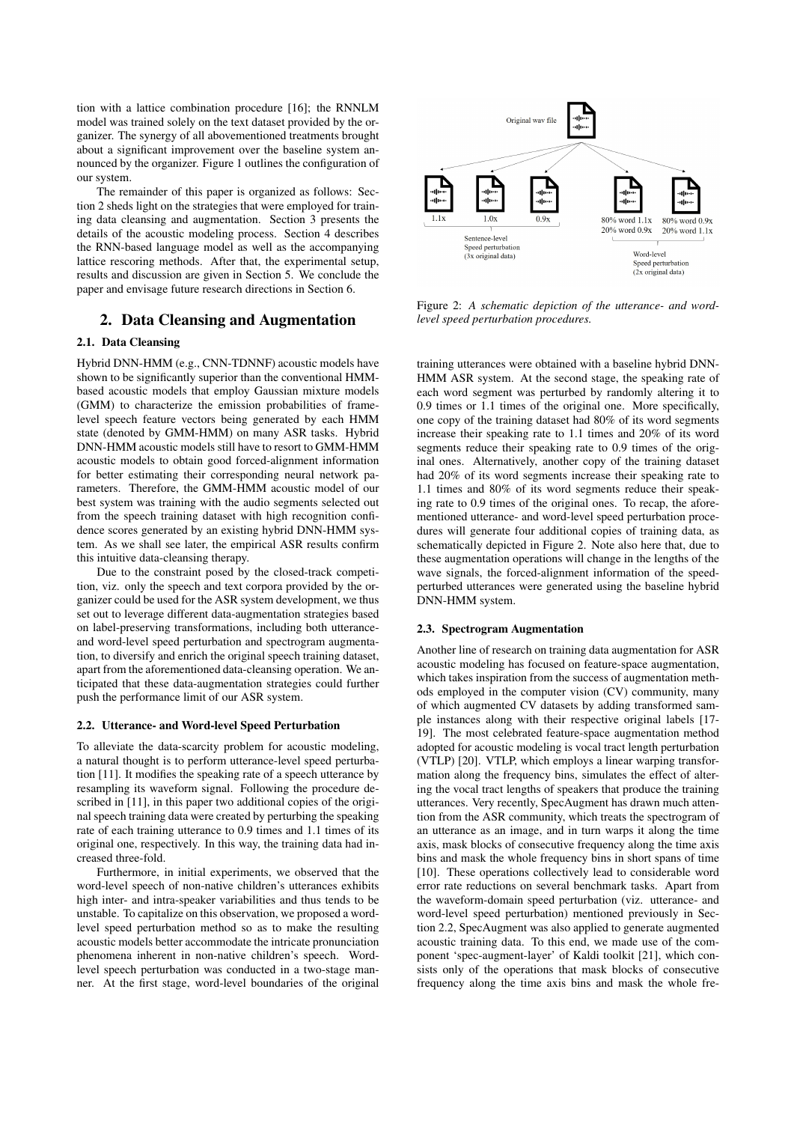tion with a lattice combination procedure [16]; the RNNLM model was trained solely on the text dataset provided by the organizer. The synergy of all abovementioned treatments brought about a significant improvement over the baseline system announced by the organizer. Figure 1 outlines the configuration of our system.

The remainder of this paper is organized as follows: Section 2 sheds light on the strategies that were employed for training data cleansing and augmentation. Section 3 presents the details of the acoustic modeling process. Section 4 describes the RNN-based language model as well as the accompanying lattice rescoring methods. After that, the experimental setup, results and discussion are given in Section 5. We conclude the paper and envisage future research directions in Section 6.

# 2. Data Cleansing and Augmentation

## 2.1. Data Cleansing

Hybrid DNN-HMM (e.g., CNN-TDNNF) acoustic models have shown to be significantly superior than the conventional HMMbased acoustic models that employ Gaussian mixture models (GMM) to characterize the emission probabilities of framelevel speech feature vectors being generated by each HMM state (denoted by GMM-HMM) on many ASR tasks. Hybrid DNN-HMM acoustic models still have to resort to GMM-HMM acoustic models to obtain good forced-alignment information for better estimating their corresponding neural network parameters. Therefore, the GMM-HMM acoustic model of our best system was training with the audio segments selected out from the speech training dataset with high recognition confidence scores generated by an existing hybrid DNN-HMM system. As we shall see later, the empirical ASR results confirm this intuitive data-cleansing therapy.

Due to the constraint posed by the closed-track competition, viz. only the speech and text corpora provided by the organizer could be used for the ASR system development, we thus set out to leverage different data-augmentation strategies based on label-preserving transformations, including both utteranceand word-level speed perturbation and spectrogram augmentation, to diversify and enrich the original speech training dataset, apart from the aforementioned data-cleansing operation. We anticipated that these data-augmentation strategies could further push the performance limit of our ASR system.

#### 2.2. Utterance- and Word-level Speed Perturbation

To alleviate the data-scarcity problem for acoustic modeling, a natural thought is to perform utterance-level speed perturbation [11]. It modifies the speaking rate of a speech utterance by resampling its waveform signal. Following the procedure described in [11], in this paper two additional copies of the original speech training data were created by perturbing the speaking rate of each training utterance to 0.9 times and 1.1 times of its original one, respectively. In this way, the training data had increased three-fold.

Furthermore, in initial experiments, we observed that the word-level speech of non-native children's utterances exhibits high inter- and intra-speaker variabilities and thus tends to be unstable. To capitalize on this observation, we proposed a wordlevel speed perturbation method so as to make the resulting acoustic models better accommodate the intricate pronunciation phenomena inherent in non-native children's speech. Wordlevel speech perturbation was conducted in a two-stage manner. At the first stage, word-level boundaries of the original



Figure 2: *A schematic depiction of the utterance- and wordlevel speed perturbation procedures.*

training utterances were obtained with a baseline hybrid DNN-HMM ASR system. At the second stage, the speaking rate of each word segment was perturbed by randomly altering it to 0.9 times or 1.1 times of the original one. More specifically, one copy of the training dataset had 80% of its word segments increase their speaking rate to 1.1 times and 20% of its word segments reduce their speaking rate to 0.9 times of the original ones. Alternatively, another copy of the training dataset had 20% of its word segments increase their speaking rate to 1.1 times and 80% of its word segments reduce their speaking rate to 0.9 times of the original ones. To recap, the aforementioned utterance- and word-level speed perturbation procedures will generate four additional copies of training data, as schematically depicted in Figure 2. Note also here that, due to these augmentation operations will change in the lengths of the wave signals, the forced-alignment information of the speedperturbed utterances were generated using the baseline hybrid DNN-HMM system.

#### 2.3. Spectrogram Augmentation

Another line of research on training data augmentation for ASR acoustic modeling has focused on feature-space augmentation, which takes inspiration from the success of augmentation methods employed in the computer vision (CV) community, many of which augmented CV datasets by adding transformed sample instances along with their respective original labels [17- 19]. The most celebrated feature-space augmentation method adopted for acoustic modeling is vocal tract length perturbation (VTLP) [20]. VTLP, which employs a linear warping transformation along the frequency bins, simulates the effect of altering the vocal tract lengths of speakers that produce the training utterances. Very recently, SpecAugment has drawn much attention from the ASR community, which treats the spectrogram of an utterance as an image, and in turn warps it along the time axis, mask blocks of consecutive frequency along the time axis bins and mask the whole frequency bins in short spans of time [10]. These operations collectively lead to considerable word error rate reductions on several benchmark tasks. Apart from the waveform-domain speed perturbation (viz. utterance- and word-level speed perturbation) mentioned previously in Section 2.2, SpecAugment was also applied to generate augmented acoustic training data. To this end, we made use of the component 'spec-augment-layer' of Kaldi toolkit [21], which consists only of the operations that mask blocks of consecutive frequency along the time axis bins and mask the whole fre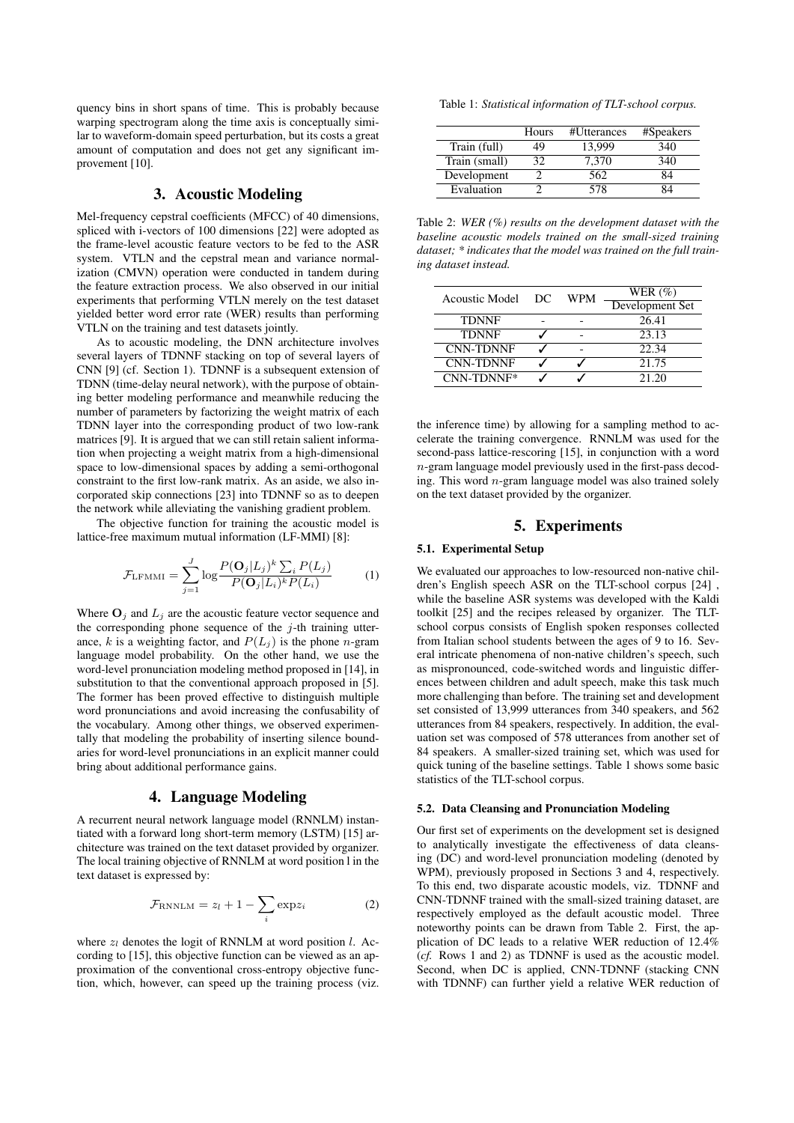quency bins in short spans of time. This is probably because warping spectrogram along the time axis is conceptually similar to waveform-domain speed perturbation, but its costs a great amount of computation and does not get any significant improvement [10].

# 3. Acoustic Modeling

Mel-frequency cepstral coefficients (MFCC) of 40 dimensions, spliced with i-vectors of 100 dimensions [22] were adopted as the frame-level acoustic feature vectors to be fed to the ASR system. VTLN and the cepstral mean and variance normalization (CMVN) operation were conducted in tandem during the feature extraction process. We also observed in our initial experiments that performing VTLN merely on the test dataset yielded better word error rate (WER) results than performing VTLN on the training and test datasets jointly.

As to acoustic modeling, the DNN architecture involves several layers of TDNNF stacking on top of several layers of CNN [9] (cf. Section 1). TDNNF is a subsequent extension of TDNN (time-delay neural network), with the purpose of obtaining better modeling performance and meanwhile reducing the number of parameters by factorizing the weight matrix of each TDNN layer into the corresponding product of two low-rank matrices [9]. It is argued that we can still retain salient information when projecting a weight matrix from a high-dimensional space to low-dimensional spaces by adding a semi-orthogonal constraint to the first low-rank matrix. As an aside, we also incorporated skip connections [23] into TDNNF so as to deepen the network while alleviating the vanishing gradient problem.

The objective function for training the acoustic model is lattice-free maximum mutual information (LF-MMI) [8]:

$$
\mathcal{F}_{\text{LFMMI}} = \sum_{j=1}^{J} \log \frac{P(\mathbf{O}_j | L_j)^k \sum_i P(L_j)}{P(\mathbf{O}_j | L_i)^k P(L_i)}
$$
(1)

Where  $O_j$  and  $L_j$  are the acoustic feature vector sequence and the corresponding phone sequence of the  $j$ -th training utterance, k is a weighting factor, and  $P(L_j)$  is the phone n-gram language model probability. On the other hand, we use the word-level pronunciation modeling method proposed in [14], in substitution to that the conventional approach proposed in [5]. The former has been proved effective to distinguish multiple word pronunciations and avoid increasing the confusability of the vocabulary. Among other things, we observed experimentally that modeling the probability of inserting silence boundaries for word-level pronunciations in an explicit manner could bring about additional performance gains.

# 4. Language Modeling

A recurrent neural network language model (RNNLM) instantiated with a forward long short-term memory (LSTM) [15] architecture was trained on the text dataset provided by organizer. The local training objective of RNNLM at word position l in the text dataset is expressed by:

$$
\mathcal{F}_{\text{RNNLM}} = z_l + 1 - \sum_{i} \exp z_i \tag{2}
$$

where  $z_l$  denotes the logit of RNNLM at word position l. According to [15], this objective function can be viewed as an approximation of the conventional cross-entropy objective function, which, however, can speed up the training process (viz.

Table 1: *Statistical information of TLT-school corpus.*

|               | Hours | #Utterances | #Speakers |
|---------------|-------|-------------|-----------|
| Train (full)  | 49    | 13.999      | 340       |
| Train (small) | 32    | 7.370       | 340       |
| Development   |       | 562         | 84        |
| Evaluation    |       | 578         | 34        |

Table 2: *WER (%) results on the development dataset with the baseline acoustic models trained on the small-sized training dataset; \* indicates that the model was trained on the full training dataset instead.*

| <b>Acoustic Model</b> | DC. | WPM | WER $(\% )$     |  |
|-----------------------|-----|-----|-----------------|--|
|                       |     |     | Development Set |  |
| <b>TDNNF</b>          |     |     | 26.41           |  |
| <b>TDNNF</b>          |     |     | 23.13           |  |
| <b>CNN-TDNNF</b>      |     |     | 22.34           |  |
| <b>CNN-TDNNF</b>      |     |     | 21.75           |  |
| CNN-TDNNF*            |     |     | 21.20           |  |

the inference time) by allowing for a sampling method to accelerate the training convergence. RNNLM was used for the second-pass lattice-rescoring [15], in conjunction with a word n-gram language model previously used in the first-pass decoding. This word  $n$ -gram language model was also trained solely on the text dataset provided by the organizer.

## 5. Experiments

#### 5.1. Experimental Setup

We evaluated our approaches to low-resourced non-native children's English speech ASR on the TLT-school corpus [24] , while the baseline ASR systems was developed with the Kaldi toolkit [25] and the recipes released by organizer. The TLTschool corpus consists of English spoken responses collected from Italian school students between the ages of 9 to 16. Several intricate phenomena of non-native children's speech, such as mispronounced, code-switched words and linguistic differences between children and adult speech, make this task much more challenging than before. The training set and development set consisted of 13,999 utterances from 340 speakers, and 562 utterances from 84 speakers, respectively. In addition, the evaluation set was composed of 578 utterances from another set of 84 speakers. A smaller-sized training set, which was used for quick tuning of the baseline settings. Table 1 shows some basic statistics of the TLT-school corpus.

## 5.2. Data Cleansing and Pronunciation Modeling

Our first set of experiments on the development set is designed to analytically investigate the effectiveness of data cleansing (DC) and word-level pronunciation modeling (denoted by WPM), previously proposed in Sections 3 and 4, respectively. To this end, two disparate acoustic models, viz. TDNNF and CNN-TDNNF trained with the small-sized training dataset, are respectively employed as the default acoustic model. Three noteworthy points can be drawn from Table 2. First, the application of DC leads to a relative WER reduction of 12.4% (*cf.* Rows 1 and 2) as TDNNF is used as the acoustic model. Second, when DC is applied, CNN-TDNNF (stacking CNN with TDNNF) can further yield a relative WER reduction of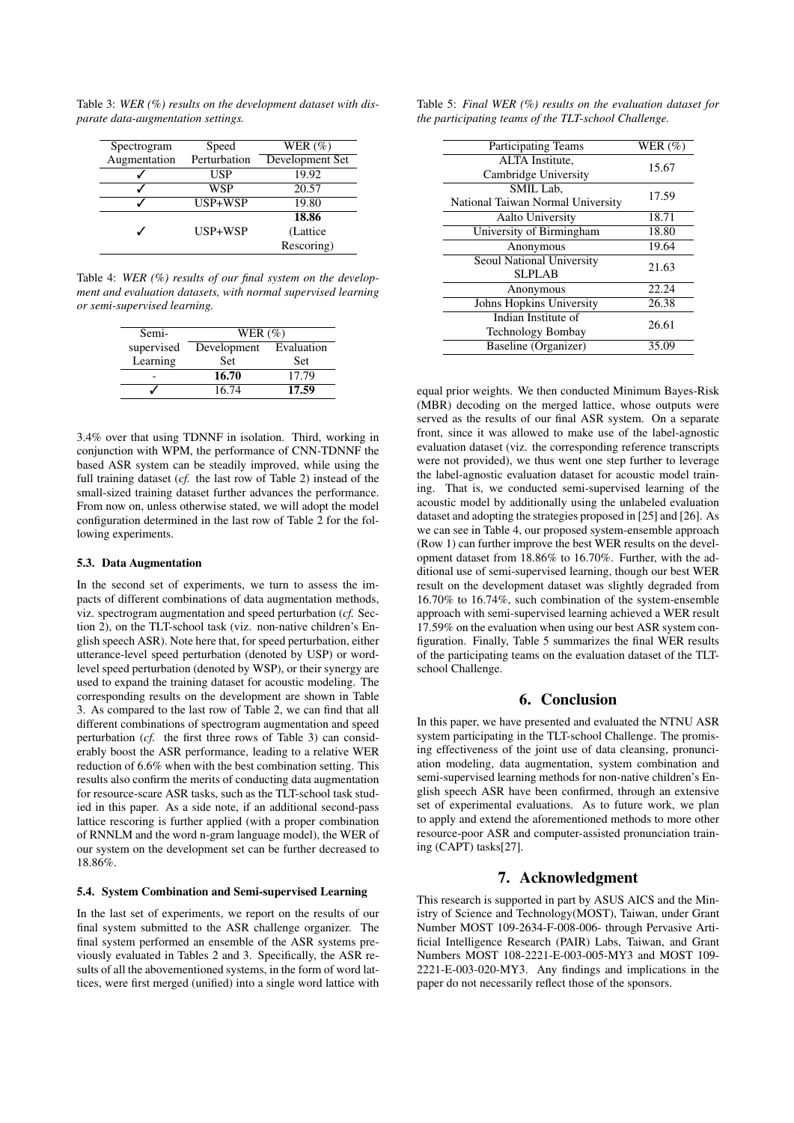Table 3: *WER (%) results on the development dataset with disparate data-augmentation settings.*

| Spectrogram  | Speed        | WER $(\%)$      |
|--------------|--------------|-----------------|
| Augmentation | Perturbation | Development Set |
|              | USP          | 19.92           |
|              | WSP          | 20.57           |
|              | USP+WSP      | 19.80           |
|              |              | 18.86           |
|              | USP+WSP      | (Lattice)       |
|              |              | Rescoring)      |

Table 4: *WER (%) results of our final system on the development and evaluation datasets, with normal supervised learning or semi-supervised learning.*

| Semi-      | WER $(\%)$             |            |  |  |
|------------|------------------------|------------|--|--|
| supervised | Development Evaluation |            |  |  |
| Learning   | <b>Set</b>             | <b>Set</b> |  |  |
|            | 16.70                  | 17.79      |  |  |
|            | 16.74                  | 17.59      |  |  |

3.4% over that using TDNNF in isolation. Third, working in conjunction with WPM, the performance of CNN-TDNNF the based ASR system can be steadily improved, while using the full training dataset (*cf.* the last row of Table 2) instead of the small-sized training dataset further advances the performance. From now on, unless otherwise stated, we will adopt the model configuration determined in the last row of Table 2 for the following experiments.

### 5.3. Data Augmentation

In the second set of experiments, we turn to assess the impacts of different combinations of data augmentation methods, viz. spectrogram augmentation and speed perturbation (*cf.* Section 2), on the TLT-school task (viz. non-native children's English speech ASR). Note here that, for speed perturbation, either utterance-level speed perturbation (denoted by USP) or wordlevel speed perturbation (denoted by WSP), or their synergy are used to expand the training dataset for acoustic modeling. The corresponding results on the development are shown in Table 3. As compared to the last row of Table 2, we can find that all different combinations of spectrogram augmentation and speed perturbation (*cf.* the first three rows of Table 3) can considerably boost the ASR performance, leading to a relative WER reduction of 6.6% when with the best combination setting. This results also confirm the merits of conducting data augmentation for resource-scare ASR tasks, such as the TLT-school task studied in this paper. As a side note, if an additional second-pass lattice rescoring is further applied (with a proper combination of RNNLM and the word n-gram language model), the WER of our system on the development set can be further decreased to 18.86%.

### 5.4. System Combination and Semi-supervised Learning

In the last set of experiments, we report on the results of our final system submitted to the ASR challenge organizer. The final system performed an ensemble of the ASR systems previously evaluated in Tables 2 and 3. Specifically, the ASR results of all the abovementioned systems, in the form of word lattices, were first merged (unified) into a single word lattice with

|  |  |  | Table 5: Final WER $(\%)$ results on the evaluation dataset for |  |
|--|--|--|-----------------------------------------------------------------|--|
|  |  |  | the participating teams of the TLT-school Challenge.            |  |

| Participating Teams               | WER $(\% )$ |  |
|-----------------------------------|-------------|--|
| ALTA Institute,                   | 15.67       |  |
| Cambridge University              |             |  |
| SMIL Lab.                         | 17.59       |  |
| National Taiwan Normal University |             |  |
| <b>Aalto University</b>           | 18.71       |  |
| University of Birmingham          | 18.80       |  |
| Anonymous                         | 19.64       |  |
| Seoul National University         | 21.63       |  |
| <b>SLPLAB</b>                     |             |  |
| Anonymous                         | 22.24       |  |
| Johns Hopkins University          | 26.38       |  |
| Indian Institute of               | 26.61       |  |
| <b>Technology Bombay</b>          |             |  |
| Baseline (Organizer)              | 35.09       |  |
|                                   |             |  |

equal prior weights. We then conducted Minimum Bayes-Risk (MBR) decoding on the merged lattice, whose outputs were served as the results of our final ASR system. On a separate front, since it was allowed to make use of the label-agnostic evaluation dataset (viz. the corresponding reference transcripts were not provided), we thus went one step further to leverage the label-agnostic evaluation dataset for acoustic model training. That is, we conducted semi-supervised learning of the acoustic model by additionally using the unlabeled evaluation dataset and adopting the strategies proposed in [25] and [26]. As we can see in Table 4, our proposed system-ensemble approach (Row 1) can further improve the best WER results on the development dataset from 18.86% to 16.70%. Further, with the additional use of semi-supervised learning, though our best WER result on the development dataset was slightly degraded from 16.70% to 16.74%, such combination of the system-ensemble approach with semi-supervised learning achieved a WER result 17.59% on the evaluation when using our best ASR system configuration. Finally, Table 5 summarizes the final WER results of the participating teams on the evaluation dataset of the TLTschool Challenge.

## 6. Conclusion

In this paper, we have presented and evaluated the NTNU ASR system participating in the TLT-school Challenge. The promising effectiveness of the joint use of data cleansing, pronunciation modeling, data augmentation, system combination and semi-supervised learning methods for non-native children's English speech ASR have been confirmed, through an extensive set of experimental evaluations. As to future work, we plan to apply and extend the aforementioned methods to more other resource-poor ASR and computer-assisted pronunciation training (CAPT) tasks[27].

## 7. Acknowledgment

This research is supported in part by ASUS AICS and the Ministry of Science and Technology(MOST), Taiwan, under Grant Number MOST 109-2634-F-008-006- through Pervasive Artificial Intelligence Research (PAIR) Labs, Taiwan, and Grant Numbers MOST 108-2221-E-003-005-MY3 and MOST 109- 2221-E-003-020-MY3. Any findings and implications in the paper do not necessarily reflect those of the sponsors.